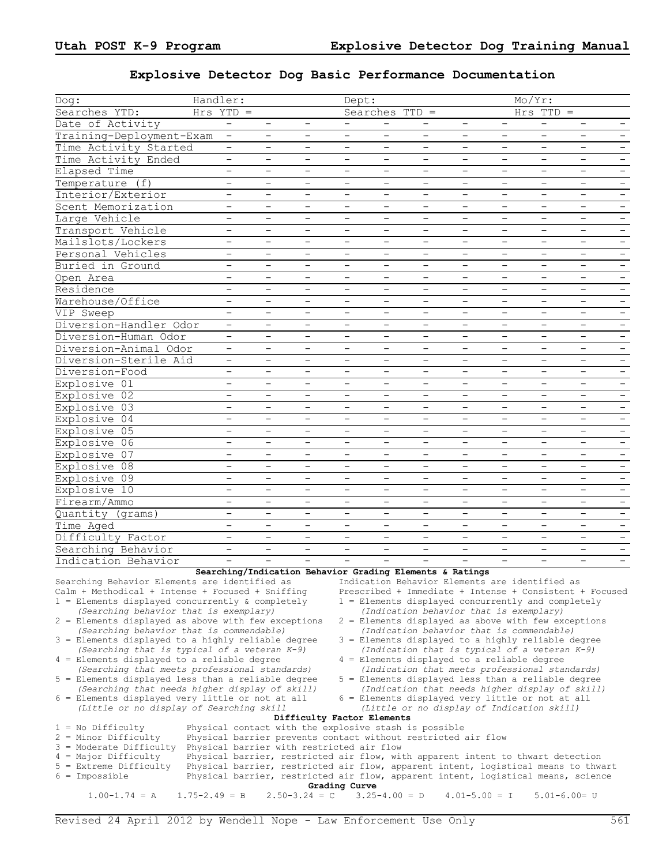## **Explosive Detector Dog Basic Performance Documentation**

| Dog:                                                                                                                                                                                          | Handler:                 |                          |                                                                                                                        | Dept:                    |                                                    |                          |                          |                          | Mo/Yr:                   |                                                         |                          |
|-----------------------------------------------------------------------------------------------------------------------------------------------------------------------------------------------|--------------------------|--------------------------|------------------------------------------------------------------------------------------------------------------------|--------------------------|----------------------------------------------------|--------------------------|--------------------------|--------------------------|--------------------------|---------------------------------------------------------|--------------------------|
| Searches YTD:                                                                                                                                                                                 | $Hrs$ YTD =              |                          |                                                                                                                        |                          | Searches TTD =                                     |                          |                          |                          | $Hrs$ TTD =              |                                                         |                          |
| Date of Activity                                                                                                                                                                              |                          | $\overline{\phantom{a}}$ | $\qquad \qquad -$                                                                                                      |                          |                                                    |                          | $\overline{\phantom{a}}$ |                          |                          |                                                         |                          |
| Training-Deployment-Exam                                                                                                                                                                      | $-$                      | $\overline{\phantom{0}}$ | $\overline{\phantom{0}}$                                                                                               | $\overline{\phantom{0}}$ | $\overline{\phantom{0}}$                           | $\qquad \qquad -$        | $\overline{\phantom{a}}$ | $-$                      | $\overline{\phantom{a}}$ | $\overline{\phantom{0}}$                                | $\overline{\phantom{a}}$ |
| Time Activity Started                                                                                                                                                                         | $-$                      | $\qquad \qquad -$        | $\qquad \qquad -$                                                                                                      | $\qquad \qquad -$        | $\qquad \qquad -$                                  | $\qquad \qquad -$        | $\qquad \qquad -$        | $\overline{\phantom{a}}$ | $\qquad \qquad -$        | $\overline{\phantom{a}}$                                |                          |
| Time Activity Ended                                                                                                                                                                           | $\overline{\phantom{a}}$ |                          | $\qquad \qquad -$                                                                                                      | $\overline{\phantom{m}}$ | $\qquad \qquad -$                                  | $\overline{\phantom{m}}$ | $\overline{\phantom{m}}$ | $\overline{\phantom{m}}$ | $\qquad \qquad -$        | $\overline{\phantom{m}}$                                | $\overline{\phantom{m}}$ |
| Elapsed Time                                                                                                                                                                                  | $\overline{\phantom{m}}$ |                          | $\overline{\phantom{0}}$                                                                                               | $\overline{\phantom{m}}$ | $\qquad \qquad -$                                  | $\overline{\phantom{m}}$ | $\overline{\phantom{0}}$ | $\overline{\phantom{m}}$ | $\qquad \qquad -$        | $\overline{\phantom{m}}$                                | $\overline{\phantom{a}}$ |
| Temperature (f)                                                                                                                                                                               | $\overline{\phantom{m}}$ | $\qquad \qquad -$        | $\overline{\phantom{0}}$                                                                                               | $\overline{\phantom{m}}$ | $\qquad \qquad -$                                  | $\qquad \qquad -$        | $\qquad \qquad -$        | $\overline{\phantom{m}}$ | $\qquad \qquad -$        | $\qquad \qquad -$                                       | $\overline{\phantom{m}}$ |
|                                                                                                                                                                                               |                          | $\overline{\phantom{0}}$ | $\overline{\phantom{0}}$                                                                                               |                          | $\overline{\phantom{0}}$                           | $-$                      | $\qquad \qquad -$        | $\overline{\phantom{a}}$ | $\overline{\phantom{0}}$ | $\overline{\phantom{0}}$                                |                          |
| Interior/Exterior                                                                                                                                                                             | $\qquad \qquad -$        |                          |                                                                                                                        | $\qquad \qquad -$        |                                                    |                          |                          |                          |                          |                                                         | $\overline{\phantom{a}}$ |
| Scent Memorization                                                                                                                                                                            |                          |                          | $\overline{\phantom{0}}$                                                                                               |                          | $\overline{\phantom{0}}$                           |                          |                          | -                        |                          |                                                         |                          |
| Large Vehicle                                                                                                                                                                                 | $\overline{\phantom{m}}$ | $\overline{\phantom{m}}$ | $\qquad \qquad -$                                                                                                      | $\overline{\phantom{m}}$ | -                                                  | $\overline{\phantom{m}}$ | $\overline{\phantom{m}}$ | $\overline{\phantom{m}}$ | $\overline{\phantom{a}}$ | $\overline{\phantom{m}}$                                | $\overline{\phantom{m}}$ |
| Transport Vehicle                                                                                                                                                                             | $\overline{\phantom{m}}$ |                          | $\qquad \qquad -$                                                                                                      | $\overline{\phantom{m}}$ | $\qquad \qquad -$                                  | $\overline{\phantom{m}}$ | $\qquad \qquad -$        | $\overline{\phantom{m}}$ | $\qquad \qquad -$        | $\overline{\phantom{m}}$                                | $\overline{\phantom{a}}$ |
| Mailslots/Lockers                                                                                                                                                                             | $\overline{\phantom{a}}$ |                          | $\overline{\phantom{0}}$                                                                                               | $\overline{\phantom{m}}$ | $\qquad \qquad -$                                  |                          | $\qquad \qquad -$        | -                        | $\qquad \qquad -$        | $\qquad \qquad -$                                       |                          |
| Personal Vehicles                                                                                                                                                                             | $\overline{\phantom{0}}$ | $\overline{\phantom{0}}$ | $\overline{\phantom{0}}$                                                                                               | $\overline{\phantom{0}}$ | $\qquad \qquad -$                                  | $\overline{\phantom{0}}$ | $\overline{\phantom{0}}$ | $\overline{\phantom{0}}$ | $\overline{\phantom{0}}$ | $\overline{\phantom{0}}$                                | $\overline{\phantom{m}}$ |
| Buried in Ground                                                                                                                                                                              | $\qquad \qquad -$        | -                        | -                                                                                                                      | $\qquad \qquad -$        | $\qquad \qquad -$                                  | $\qquad \qquad -$        | $\qquad \qquad -$        | $\overline{\phantom{m}}$ | $\qquad \qquad -$        | $\overline{\phantom{a}}$                                | $\overline{\phantom{m}}$ |
| Open Area                                                                                                                                                                                     | $\overline{\phantom{m}}$ |                          | $\overline{\phantom{a}}$                                                                                               | $\overline{\phantom{m}}$ | $\qquad \qquad -$                                  | $\overline{\phantom{m}}$ | $\overline{\phantom{m}}$ | $\overline{\phantom{m}}$ | $\qquad \qquad -$        | $\overline{\phantom{m}}$                                | $\overline{\phantom{m}}$ |
| Residence                                                                                                                                                                                     | $\overline{\phantom{a}}$ |                          | $\qquad \qquad -$                                                                                                      | $\overline{\phantom{m}}$ | $\qquad \qquad -$                                  | $\overline{\phantom{m}}$ | $\overline{\phantom{m}}$ | $\overline{\phantom{m}}$ | $\qquad \qquad -$        | $\overline{\phantom{m}}$                                | $\overline{\phantom{a}}$ |
| Warehouse/Office                                                                                                                                                                              | $\overline{\phantom{a}}$ |                          | $\overline{\phantom{0}}$                                                                                               | $\overline{\phantom{m}}$ | $\qquad \qquad -$                                  | $\qquad \qquad -$        | $\overline{\phantom{a}}$ | $\overline{\phantom{m}}$ | $\qquad \qquad -$        | $\qquad \qquad -$                                       | $\overline{\phantom{a}}$ |
| VIP Sweep                                                                                                                                                                                     | $-$                      | $\overline{\phantom{0}}$ | $\overline{\phantom{0}}$                                                                                               | $\qquad \qquad -$        | $\overline{\phantom{0}}$                           | $-$                      | $\overline{\phantom{0}}$ | $\overline{\phantom{a}}$ | $\overline{\phantom{0}}$ | $\overline{\phantom{0}}$                                | $\overline{\phantom{a}}$ |
| Diversion-Handler Odor                                                                                                                                                                        | $\overline{\phantom{0}}$ |                          | $\overline{\phantom{0}}$                                                                                               |                          | $\overline{\phantom{0}}$                           |                          |                          | $\overline{\phantom{m}}$ |                          |                                                         |                          |
| Diversion-Human Odor                                                                                                                                                                          | $\overline{\phantom{m}}$ | $\overline{\phantom{m}}$ | $\qquad \qquad -$                                                                                                      | $\overline{\phantom{m}}$ | -                                                  | $\overline{\phantom{m}}$ | $\overline{\phantom{m}}$ | $\overline{\phantom{m}}$ | $\overline{\phantom{a}}$ | $\overline{\phantom{m}}$                                | $\overline{\phantom{m}}$ |
| Diversion-Animal Odor                                                                                                                                                                         | $\overline{\phantom{m}}$ |                          | $\qquad \qquad -$                                                                                                      | $\overline{\phantom{m}}$ | $\qquad \qquad -$                                  | $\overline{\phantom{m}}$ | $\overline{\phantom{0}}$ | $\overline{\phantom{m}}$ | $\qquad \qquad -$        | $\overline{\phantom{m}}$                                | $\overline{\phantom{a}}$ |
| Diversion-Sterile Aid                                                                                                                                                                         | $\overline{\phantom{m}}$ |                          | $\overline{\phantom{0}}$                                                                                               | $\overline{\phantom{m}}$ | $\qquad \qquad -$                                  |                          | $\qquad \qquad -$        | $\overline{\phantom{m}}$ | $\qquad \qquad -$        | $\qquad \qquad -$                                       |                          |
| Diversion-Food                                                                                                                                                                                | $\overline{\phantom{0}}$ | $\overline{\phantom{0}}$ | $\overline{\phantom{0}}$                                                                                               | $\overline{\phantom{0}}$ | $-$                                                | $\overline{\phantom{0}}$ | $\overline{\phantom{0}}$ | $\overline{\phantom{0}}$ | $\overline{\phantom{0}}$ | $\overline{\phantom{0}}$                                | $\overline{\phantom{m}}$ |
| Explosive 01                                                                                                                                                                                  | $\overline{\phantom{m}}$ | -                        | -                                                                                                                      | $\qquad \qquad -$        | $\qquad \qquad -$                                  | $\qquad \qquad -$        | $\qquad \qquad -$        | $\overline{\phantom{m}}$ | $\qquad \qquad -$        | $\qquad \qquad -$                                       | $\overline{\phantom{a}}$ |
| Explosive 02                                                                                                                                                                                  | $\overline{\phantom{m}}$ |                          | $\overline{\phantom{a}}$                                                                                               | $\overline{\phantom{m}}$ | $\qquad \qquad -$                                  | $\overline{\phantom{m}}$ | $\overline{\phantom{0}}$ | $\overline{\phantom{m}}$ | $\qquad \qquad -$        | $\overline{\phantom{m}}$                                | $\overline{\phantom{m}}$ |
| Explosive 03                                                                                                                                                                                  | $\overline{\phantom{m}}$ |                          | $\qquad \qquad -$                                                                                                      | $\overline{\phantom{m}}$ | $\qquad \qquad -$                                  | $\overline{\phantom{m}}$ | $\overline{\phantom{m}}$ | $\overline{\phantom{m}}$ | $\qquad \qquad -$        | $\overline{\phantom{m}}$                                | $\overline{\phantom{a}}$ |
| Explosive 04                                                                                                                                                                                  | $\overline{\phantom{m}}$ |                          | $\qquad \qquad -$                                                                                                      | $\overline{\phantom{m}}$ | $\overline{\phantom{0}}$                           | $\qquad \qquad -$        | $\overline{\phantom{0}}$ | $\overline{\phantom{m}}$ | $\qquad \qquad -$        | $\qquad \qquad -$                                       | $\overline{\phantom{a}}$ |
| Explosive 05                                                                                                                                                                                  | $\overline{\phantom{a}}$ | $\qquad \qquad -$        | $\overline{\phantom{0}}$                                                                                               | $\overline{\phantom{a}}$ | $\overline{\phantom{0}}$                           | $-$                      | $\qquad \qquad -$        | $\overline{\phantom{a}}$ | $\qquad \qquad -$        | $\overline{\phantom{0}}$                                | $\overline{\phantom{a}}$ |
| Explosive 06                                                                                                                                                                                  |                          |                          | $\overline{\phantom{0}}$                                                                                               | $\qquad \qquad -$        | $\overline{\phantom{0}}$                           | $\qquad \qquad -$        |                          | $\overline{\phantom{m}}$ | —                        | $\overline{\phantom{0}}$                                |                          |
|                                                                                                                                                                                               |                          | $\overline{\phantom{m}}$ |                                                                                                                        |                          |                                                    | $\overline{\phantom{m}}$ |                          |                          |                          |                                                         |                          |
| Explosive 07                                                                                                                                                                                  |                          |                          | $\qquad \qquad -$                                                                                                      | $\overline{\phantom{m}}$ | -                                                  |                          | $\overline{\phantom{m}}$ | $\overline{\phantom{m}}$ | $\overline{\phantom{m}}$ | $\overline{\phantom{m}}$                                | $\overline{\phantom{m}}$ |
| Explosive 08                                                                                                                                                                                  | $\overline{\phantom{m}}$ |                          | $\overline{\phantom{0}}$                                                                                               | $\overline{\phantom{m}}$ | $\qquad \qquad -$                                  | $\overline{\phantom{0}}$ | $\overline{\phantom{0}}$ | $\overline{\phantom{m}}$ |                          | $\overline{\phantom{m}}$                                | $\overline{\phantom{a}}$ |
| Explosive 09                                                                                                                                                                                  |                          |                          | $\qquad \qquad -$                                                                                                      |                          |                                                    |                          |                          |                          |                          | $\qquad \qquad -$                                       |                          |
| Explosive 10                                                                                                                                                                                  | $\overline{\phantom{0}}$ | $\overline{\phantom{0}}$ | $\overline{\phantom{0}}$                                                                                               | $\overline{\phantom{0}}$ | $\overline{\phantom{0}}$                           | $\overline{\phantom{0}}$ | $\overline{\phantom{0}}$ | $\overline{\phantom{0}}$ | $\overline{\phantom{0}}$ | $\overline{\phantom{0}}$                                | $\overline{\phantom{a}}$ |
| Firearm/Ammo                                                                                                                                                                                  | $\qquad \qquad -$        | -                        | $\qquad \qquad -$                                                                                                      | $\qquad \qquad -$        | $\qquad \qquad -$                                  | $\qquad \qquad -$        | $\qquad \qquad -$        | $\overline{\phantom{m}}$ | $\qquad \qquad -$        | $\qquad \qquad -$                                       | $\overline{\phantom{a}}$ |
| Quantity (grams)                                                                                                                                                                              | $\overline{\phantom{m}}$ |                          | $\overline{\phantom{a}}$                                                                                               | $\overline{\phantom{m}}$ | $\qquad \qquad -$                                  |                          | $\overline{\phantom{0}}$ | $\overline{\phantom{m}}$ | $\qquad \qquad -$        | $\overline{\phantom{m}}$                                | $\qquad \qquad -$        |
| Time Aged                                                                                                                                                                                     | $\overline{\phantom{m}}$ |                          | $\overline{\phantom{0}}$                                                                                               | $\overline{\phantom{m}}$ | $\qquad \qquad -$                                  | $\overline{\phantom{m}}$ | $\overline{\phantom{m}}$ | $\overline{\phantom{m}}$ | $\qquad \qquad -$        | $\overline{\phantom{a}}$                                | $\overline{\phantom{a}}$ |
| Difficulty Factor                                                                                                                                                                             |                          |                          |                                                                                                                        |                          |                                                    |                          |                          |                          |                          | $\qquad \qquad -$                                       |                          |
| Searching Behavior                                                                                                                                                                            | $-$                      | $-$                      | $\overline{\phantom{0}}$                                                                                               | $\qquad \qquad -$        | $\overline{\phantom{0}}$                           | $\qquad \qquad -$        | $\overline{\phantom{a}}$ | $\overline{\phantom{a}}$ | $\qquad \qquad -$        | $\overline{\phantom{0}}$                                | $-$                      |
| Indication Behavior                                                                                                                                                                           |                          |                          |                                                                                                                        |                          |                                                    |                          |                          |                          |                          |                                                         |                          |
|                                                                                                                                                                                               |                          |                          | Searching/Indication Behavior Grading Elements & Ratings                                                               |                          |                                                    |                          |                          |                          |                          |                                                         |                          |
| Searching Behavior Elements are identified as [Indication Behavior Elements are identified as                                                                                                 |                          |                          |                                                                                                                        |                          |                                                    |                          |                          |                          |                          |                                                         |                          |
| Calm + Methodical + Intense + Focused + Sniffing<br>$1$ = Elements displayed concurrently & completely                                                                                        |                          |                          |                                                                                                                        |                          | 1 = Elements displayed concurrently and completely |                          |                          |                          |                          | Prescribed + Immediate + Intense + Consistent + Focused |                          |
| (Searching behavior that is exemplary)                                                                                                                                                        |                          |                          |                                                                                                                        |                          | (Indication behavior that is exemplary)            |                          |                          |                          |                          |                                                         |                          |
| 2 = Elements displayed as above with few exceptions                                                                                                                                           |                          |                          |                                                                                                                        |                          |                                                    |                          |                          |                          |                          | $2$ = Elements displayed as above with few exceptions   |                          |
| (Searching behavior that is commendable)<br>(Indication behavior that is commendable)                                                                                                         |                          |                          |                                                                                                                        |                          |                                                    |                          |                          |                          |                          |                                                         |                          |
| 3 = Elements displayed to a highly reliable degree<br>3 = Elements displayed to a highly reliable degree                                                                                      |                          |                          |                                                                                                                        |                          |                                                    |                          |                          |                          |                          |                                                         |                          |
| (Searching that is typical of a veteran K-9)<br>(Indication that is typical of a veteran $K-9$ )                                                                                              |                          |                          |                                                                                                                        |                          |                                                    |                          |                          |                          |                          |                                                         |                          |
| 4 = Elements displayed to a reliable degree<br>4 = Elements displayed to a reliable degree<br>(Searching that meets professional standards)<br>(Indication that meets professional standards) |                          |                          |                                                                                                                        |                          |                                                    |                          |                          |                          |                          |                                                         |                          |
| 5 = Elements displayed less than a reliable degree                                                                                                                                            |                          |                          |                                                                                                                        |                          | 5 = Elements displayed less than a reliable degree |                          |                          |                          |                          |                                                         |                          |
| (Searching that needs higher display of skill)                                                                                                                                                |                          |                          |                                                                                                                        |                          | (Indication that needs higher display of skill)    |                          |                          |                          |                          |                                                         |                          |
| 6 = Elements displayed very little or not at all                                                                                                                                              |                          |                          |                                                                                                                        |                          | $6$ = Elements displayed very little or not at all |                          |                          |                          |                          |                                                         |                          |
| (Little or no display of Searching skill                                                                                                                                                      |                          |                          |                                                                                                                        |                          | (Little or no display of Indication skill)         |                          |                          |                          |                          |                                                         |                          |
|                                                                                                                                                                                               |                          |                          | Difficulty Factor Elements                                                                                             |                          |                                                    |                          |                          |                          |                          |                                                         |                          |
| $1 = No$ Difficulty<br>$2$ = Minor Difficulty                                                                                                                                                 |                          |                          | Physical contact with the explosive stash is possible<br>Physical barrier prevents contact without restricted air flow |                          |                                                    |                          |                          |                          |                          |                                                         |                          |
| $3 =$ Moderate Difficulty                                                                                                                                                                     |                          |                          | Physical barrier with restricted air flow                                                                              |                          |                                                    |                          |                          |                          |                          |                                                         |                          |
| $4 =$ Major Difficulty                                                                                                                                                                        |                          |                          | Physical barrier, restricted air flow, with apparent intent to thwart detection                                        |                          |                                                    |                          |                          |                          |                          |                                                         |                          |
| $5$ = Extreme Difficulty                                                                                                                                                                      |                          |                          | Physical barrier, restricted air flow, apparent intent, logistical means to thwart                                     |                          |                                                    |                          |                          |                          |                          |                                                         |                          |
| $6 =$ Impossible                                                                                                                                                                              |                          |                          | Physical barrier, restricted air flow, apparent intent, logistical means, science                                      |                          |                                                    |                          |                          |                          |                          |                                                         |                          |
|                                                                                                                                                                                               |                          |                          |                                                                                                                        | Grading Curve            |                                                    |                          |                          |                          |                          |                                                         |                          |
| $1.00-1.74 = A$<br>$1.75 - 2.49 = B$                                                                                                                                                          |                          |                          | $2.50 - 3.24 = C$                                                                                                      |                          | $3.25 - 4.00 = D$                                  |                          | $4.01 - 5.00 = I$        |                          |                          | $5.01 - 6.00 = U$                                       |                          |